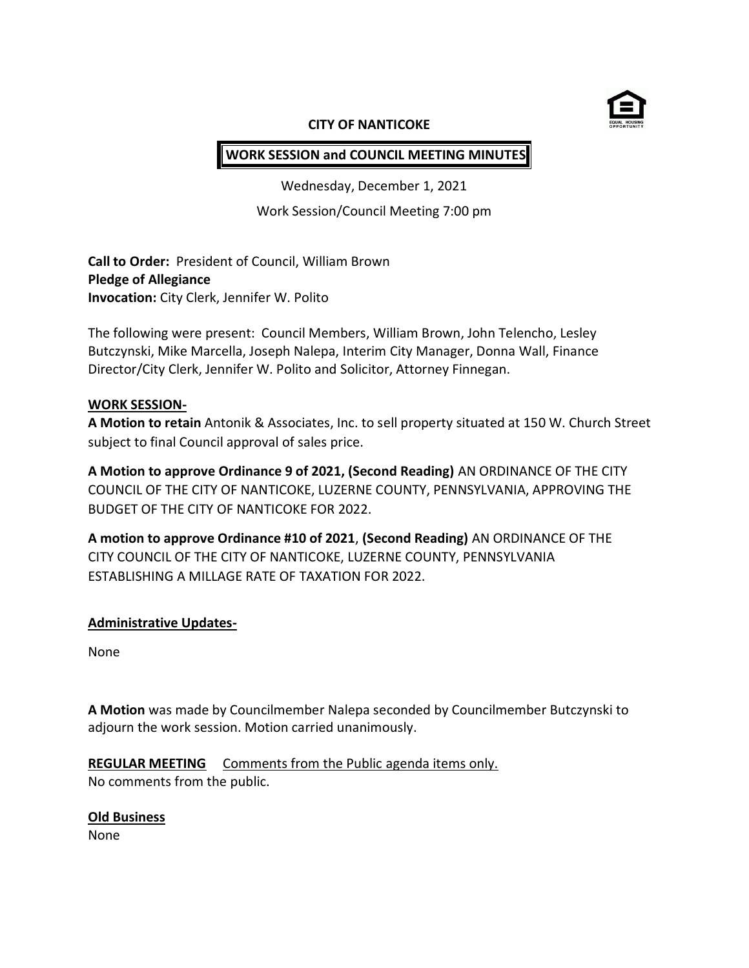

#### **CITY OF NANTICOKE**

# **WORK SESSION and COUNCIL MEETING MINUTES**

Wednesday, December 1, 2021

Work Session/Council Meeting 7:00 pm

**Call to Order:** President of Council, William Brown **Pledge of Allegiance Invocation:** City Clerk, Jennifer W. Polito

The following were present: Council Members, William Brown, John Telencho, Lesley Butczynski, Mike Marcella, Joseph Nalepa, Interim City Manager, Donna Wall, Finance Director/City Clerk, Jennifer W. Polito and Solicitor, Attorney Finnegan.

# **WORK SESSION-**

**A Motion to retain** Antonik & Associates, Inc. to sell property situated at 150 W. Church Street subject to final Council approval of sales price.

**A Motion to approve Ordinance 9 of 2021, (Second Reading)** AN ORDINANCE OF THE CITY COUNCIL OF THE CITY OF NANTICOKE, LUZERNE COUNTY, PENNSYLVANIA, APPROVING THE BUDGET OF THE CITY OF NANTICOKE FOR 2022.

**A motion to approve Ordinance #10 of 2021**, **(Second Reading)** AN ORDINANCE OF THE CITY COUNCIL OF THE CITY OF NANTICOKE, LUZERNE COUNTY, PENNSYLVANIA ESTABLISHING A MILLAGE RATE OF TAXATION FOR 2022.

# **Administrative Updates-**

None

**A Motion** was made by Councilmember Nalepa seconded by Councilmember Butczynski to adjourn the work session. Motion carried unanimously.

**REGULAR MEETING** Comments from the Public agenda items only. No comments from the public.

# **Old Business**

None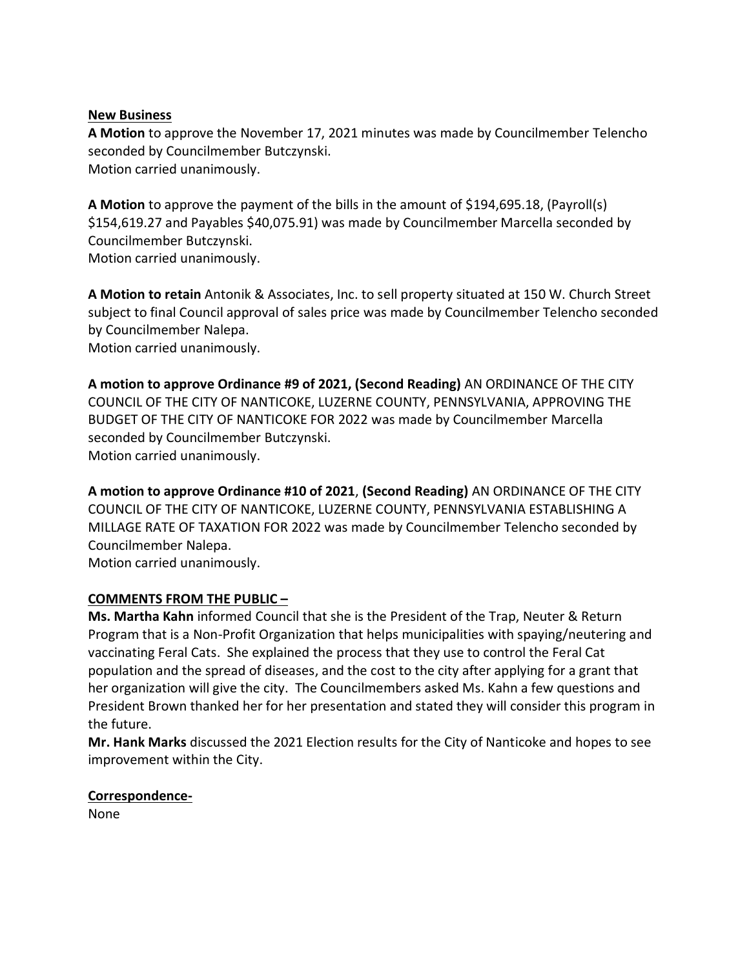#### **New Business**

**A Motion** to approve the November 17, 2021 minutes was made by Councilmember Telencho seconded by Councilmember Butczynski. Motion carried unanimously.

**A Motion** to approve the payment of the bills in the amount of \$194,695.18, (Payroll(s) \$154,619.27 and Payables \$40,075.91) was made by Councilmember Marcella seconded by Councilmember Butczynski. Motion carried unanimously.

**A Motion to retain** Antonik & Associates, Inc. to sell property situated at 150 W. Church Street subject to final Council approval of sales price was made by Councilmember Telencho seconded by Councilmember Nalepa. Motion carried unanimously.

**A motion to approve Ordinance #9 of 2021, (Second Reading)** AN ORDINANCE OF THE CITY COUNCIL OF THE CITY OF NANTICOKE, LUZERNE COUNTY, PENNSYLVANIA, APPROVING THE BUDGET OF THE CITY OF NANTICOKE FOR 2022 was made by Councilmember Marcella seconded by Councilmember Butczynski. Motion carried unanimously.

**A motion to approve Ordinance #10 of 2021**, **(Second Reading)** AN ORDINANCE OF THE CITY COUNCIL OF THE CITY OF NANTICOKE, LUZERNE COUNTY, PENNSYLVANIA ESTABLISHING A MILLAGE RATE OF TAXATION FOR 2022 was made by Councilmember Telencho seconded by Councilmember Nalepa. Motion carried unanimously.

# **COMMENTS FROM THE PUBLIC –**

**Ms. Martha Kahn** informed Council that she is the President of the Trap, Neuter & Return Program that is a Non-Profit Organization that helps municipalities with spaying/neutering and vaccinating Feral Cats. She explained the process that they use to control the Feral Cat population and the spread of diseases, and the cost to the city after applying for a grant that her organization will give the city. The Councilmembers asked Ms. Kahn a few questions and President Brown thanked her for her presentation and stated they will consider this program in the future.

**Mr. Hank Marks** discussed the 2021 Election results for the City of Nanticoke and hopes to see improvement within the City.

# **Correspondence-**

None